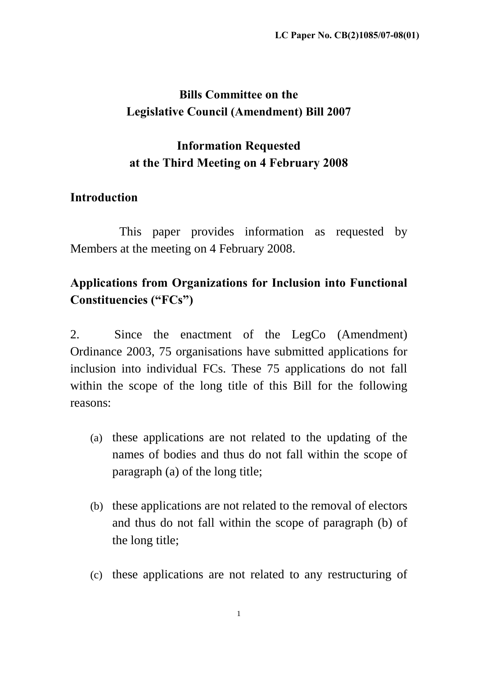# **Bills Committee on the Legislative Council (Amendment) Bill 2007**

# **Information Requested at the Third Meeting on 4 February 2008**

## **Introduction**

This paper provides information as requested by Members at the meeting on 4 February 2008.

# **Applications from Organizations for Inclusion into Functional Constituencies ("FCs")**

2. Since the enactment of the LegCo (Amendment) Ordinance 2003, 75 organisations have submitted applications for inclusion into individual FCs. These 75 applications do not fall within the scope of the long title of this Bill for the following reasons:

- (a) these applications are not related to the updating of the names of bodies and thus do not fall within the scope of paragraph (a) of the long title;
- (b) these applications are not related to the removal of electors and thus do not fall within the scope of paragraph (b) of the long title;
- (c) these applications are not related to any restructuring of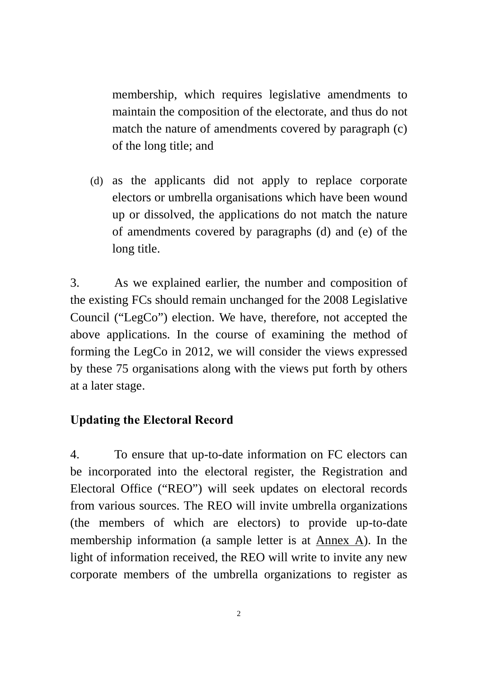membership, which requires legislative amendments to maintain the composition of the electorate, and thus do not match the nature of amendments covered by paragraph (c) of the long title; and

(d) as the applicants did not apply to replace corporate electors or umbrella organisations which have been wound up or dissolved, the applications do not match the nature of amendments covered by paragraphs (d) and (e) of the long title.

3. As we explained earlier, the number and composition of the existing FCs should remain unchanged for the 2008 Legislative Council ("LegCo") election. We have, therefore, not accepted the above applications. In the course of examining the method of forming the LegCo in 2012, we will consider the views expressed by these 75 organisations along with the views put forth by others at a later stage.

## **Updating the Electoral Record**

4. To ensure that up-to-date information on FC electors can be incorporated into the electoral register, the Registration and Electoral Office ("REO") will seek updates on electoral records from various sources. The REO will invite umbrella organizations (the members of which are electors) to provide up-to-date membership information (a sample letter is at Annex A). In the light of information received, the REO will write to invite any new corporate members of the umbrella organizations to register as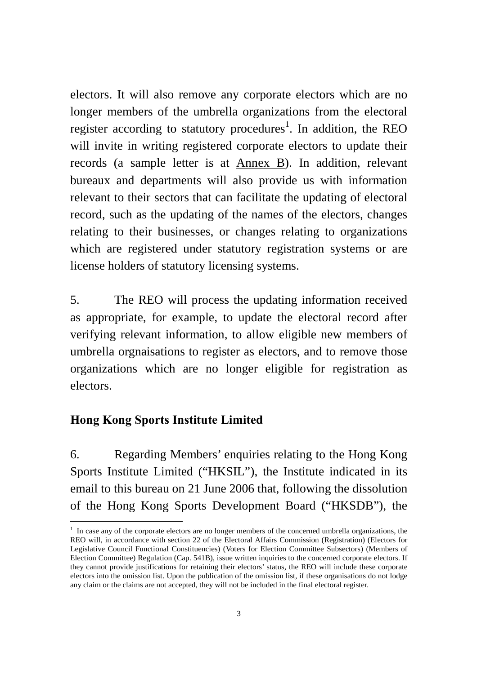electors. It will also remove any corporate electors which are no longer members of the umbrella organizations from the electoral register according to statutory procedures<sup>1</sup>. In addition, the REO will invite in writing registered corporate electors to update their records (a sample letter is at Annex B). In addition, relevant bureaux and departments will also provide us with information relevant to their sectors that can facilitate the updating of electoral record, such as the updating of the names of the electors, changes relating to their businesses, or changes relating to organizations which are registered under statutory registration systems or are license holders of statutory licensing systems.

5. The REO will process the updating information received as appropriate, for example, to update the electoral record after verifying relevant information, to allow eligible new members of umbrella orgnaisations to register as electors, and to remove those organizations which are no longer eligible for registration as electors.

## **Hong Kong Sports Institute Limited**

-

6. Regarding Members' enquiries relating to the Hong Kong Sports Institute Limited ("HKSIL"), the Institute indicated in its email to this bureau on 21 June 2006 that, following the dissolution of the Hong Kong Sports Development Board ("HKSDB"), the

 $<sup>1</sup>$  In case any of the corporate electors are no longer members of the concerned umbrella organizations, the</sup> REO will, in accordance with section 22 of the Electoral Affairs Commission (Registration) (Electors for Legislative Council Functional Constituencies) (Voters for Election Committee Subsectors) (Members of Election Committee) Regulation (Cap. 541B), issue written inquiries to the concerned corporate electors. If they cannot provide justifications for retaining their electors' status, the REO will include these corporate electors into the omission list. Upon the publication of the omission list, if these organisations do not lodge any claim or the claims are not accepted, they will not be included in the final electoral register.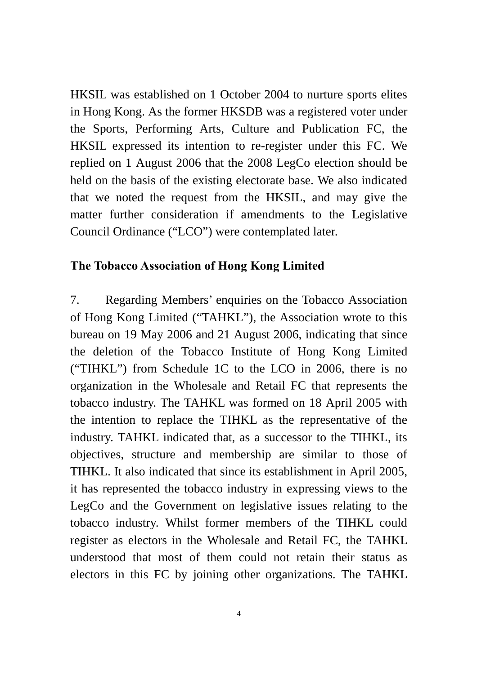HKSIL was established on 1 October 2004 to nurture sports elites in Hong Kong. As the former HKSDB was a registered voter under the Sports, Performing Arts, Culture and Publication FC, the HKSIL expressed its intention to re-register under this FC. We replied on 1 August 2006 that the 2008 LegCo election should be held on the basis of the existing electorate base. We also indicated that we noted the request from the HKSIL, and may give the matter further consideration if amendments to the Legislative Council Ordinance ("LCO") were contemplated later.

### **The Tobacco Association of Hong Kong Limited**

7. Regarding Members' enquiries on the Tobacco Association of Hong Kong Limited ("TAHKL"), the Association wrote to this bureau on 19 May 2006 and 21 August 2006, indicating that since the deletion of the Tobacco Institute of Hong Kong Limited ("TIHKL") from Schedule 1C to the LCO in 2006, there is no organization in the Wholesale and Retail FC that represents the tobacco industry. The TAHKL was formed on 18 April 2005 with the intention to replace the TIHKL as the representative of the industry. TAHKL indicated that, as a successor to the TIHKL, its objectives, structure and membership are similar to those of TIHKL. It also indicated that since its establishment in April 2005, it has represented the tobacco industry in expressing views to the LegCo and the Government on legislative issues relating to the tobacco industry. Whilst former members of the TIHKL could register as electors in the Wholesale and Retail FC, the TAHKL understood that most of them could not retain their status as electors in this FC by joining other organizations. The TAHKL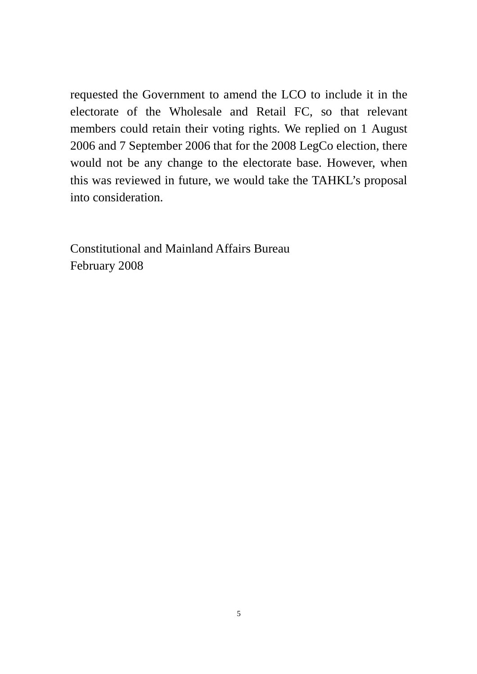requested the Government to amend the LCO to include it in the electorate of the Wholesale and Retail FC, so that relevant members could retain their voting rights. We replied on 1 August 2006 and 7 September 2006 that for the 2008 LegCo election, there would not be any change to the electorate base. However, when this was reviewed in future, we would take the TAHKL's proposal into consideration.

Constitutional and Mainland Affairs Bureau February 2008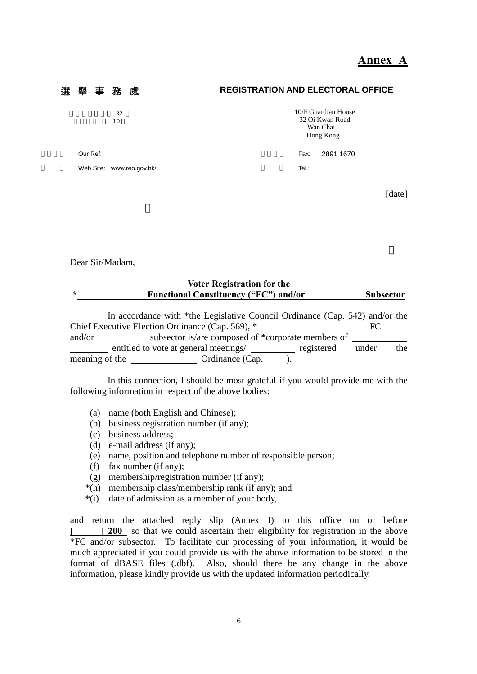### **Annex A**

### 選 舉 事 務 處 **REGISTRATION AND ELECTORAL OFFICE**   $32$ 愛群商業大廈 10 10/F Guardian House 32 Oi Kwan Road Wan Chai Hong Kong Our Ref: 2891 1670 Web Site: www.reo.gov.hk/ Tel.:

[date]

Dear Sir/Madam,

| <b>Voter Registration for the</b> |                                                                             |                  |  |  |  |  |
|-----------------------------------|-----------------------------------------------------------------------------|------------------|--|--|--|--|
| $\ast$                            | <b>Functional Constituency ("FC") and/or</b>                                | <b>Subsector</b> |  |  |  |  |
|                                   |                                                                             |                  |  |  |  |  |
|                                   | In accordance with *the Legislative Council Ordinance (Cap. 542) and/or the |                  |  |  |  |  |
|                                   | Chief Executive Election Ordinance (Cap. 569), *                            | FC.              |  |  |  |  |
| and/or                            | subsector is/are composed of *corporate members of                          |                  |  |  |  |  |

entitled to vote at general meetings/ registered under the meaning of the Ordinance (Cap. ).

 In this connection, I should be most grateful if you would provide me with the following information in respect of the above bodies:

- (a) name (both English and Chinese);
- (b) business registration number (if any);
- (c) business address;
- (d) e-mail address (if any);
- (e) name, position and telephone number of responsible person;
- (f) fax number (if any);
- (g) membership/registration number (if any);
- \*(h) membership class/membership rank (if any); and
- \*(i) date of admission as a member of your body,

and return the attached reply slip (Annex I) to this office on or before **[ ] 200** so that we could ascertain their eligibility for registration in the above \*FC and/or subsector. To facilitate our processing of your information, it would be much appreciated if you could provide us with the above information to be stored in the format of dBASE files (.dbf). Also, should there be any change in the above information, please kindly provide us with the updated information periodically.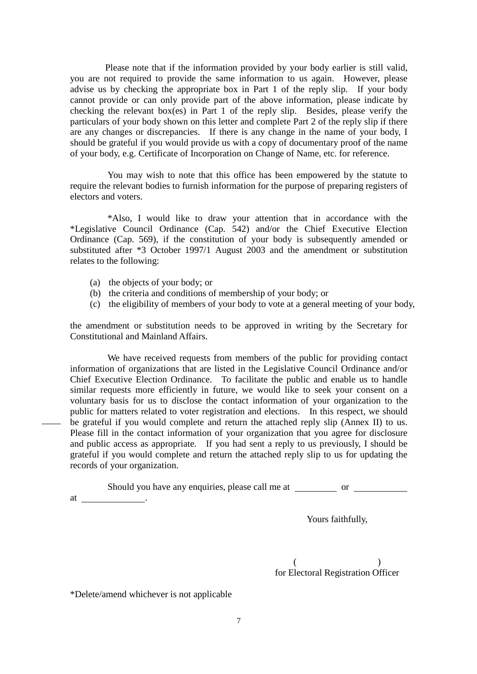Please note that if the information provided by your body earlier is still valid, you are not required to provide the same information to us again. However, please advise us by checking the appropriate box in Part 1 of the reply slip. If your body cannot provide or can only provide part of the above information, please indicate by checking the relevant box(es) in Part 1 of the reply slip. Besides, please verify the particulars of your body shown on this letter and complete Part 2 of the reply slip if there are any changes or discrepancies. If there is any change in the name of your body, I should be grateful if you would provide us with a copy of documentary proof of the name of your body, e.g. Certificate of Incorporation on Change of Name, etc. for reference.

 You may wish to note that this office has been empowered by the statute to require the relevant bodies to furnish information for the purpose of preparing registers of electors and voters.

 \*Also, I would like to draw your attention that in accordance with the \*Legislative Council Ordinance (Cap. 542) and/or the Chief Executive Election Ordinance (Cap. 569), if the constitution of your body is subsequently amended or substituted after \*3 October 1997/1 August 2003 and the amendment or substitution relates to the following:

- (a) the objects of your body; or
- (b) the criteria and conditions of membership of your body; or
- (c) the eligibility of members of your body to vote at a general meeting of your body,

the amendment or substitution needs to be approved in writing by the Secretary for Constitutional and Mainland Affairs.

 We have received requests from members of the public for providing contact information of organizations that are listed in the Legislative Council Ordinance and/or Chief Executive Election Ordinance. To facilitate the public and enable us to handle similar requests more efficiently in future, we would like to seek your consent on a voluntary basis for us to disclose the contact information of your organization to the public for matters related to voter registration and elections. In this respect, we should be grateful if you would complete and return the attached reply slip (Annex II) to us. Please fill in the contact information of your organization that you agree for disclosure and public access as appropriate. If you had sent a reply to us previously, I should be grateful if you would complete and return the attached reply slip to us for updating the records of your organization.

Should you have any enquiries, please call me at \_\_\_\_\_\_\_\_\_\_\_\_\_\_\_\_\_\_\_\_\_\_\_\_\_\_\_\_\_\_\_\_

at .

Yours faithfully,

 $($  ) for Electoral Registration Officer

\*Delete/amend whichever is not applicable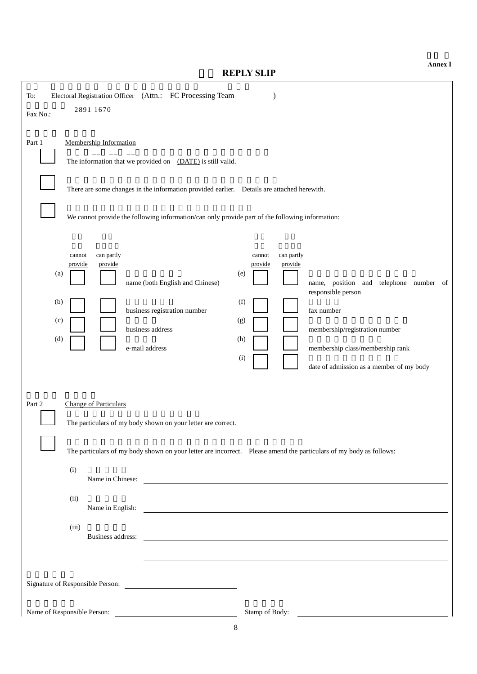**REPLY SLIP** 

| Electoral Registration Officer (Attn.: FC Processing Team<br>To:<br>2891 1670<br>Fax No.:                                                                                                                                                                                                                                                                                                                                                                        |
|------------------------------------------------------------------------------------------------------------------------------------------------------------------------------------------------------------------------------------------------------------------------------------------------------------------------------------------------------------------------------------------------------------------------------------------------------------------|
| Membership Information<br>Part 1<br>The information that we provided on (DATE) is still valid.<br>There are some changes in the information provided earlier.  Details are attached herewith.<br>We cannot provide the following information/can only provide part of the following information:                                                                                                                                                                 |
| can partly<br>can partly<br>cannot<br>cannot<br>provide<br>provide<br>provide<br>provide<br>(a)<br>(e)<br>name (both English and Chinese)<br>name, position and telephone number of<br>responsible person<br>(f)<br>(b)<br>business registration number<br>fax number<br>(c)<br>(g)<br>business address<br>membership/registration number<br>(d)<br>(h)<br>e-mail address<br>membership class/membership rank<br>(i)<br>date of admission as a member of my body |
| Part 2<br><b>Change of Particulars</b><br>The particulars of my body shown on your letter are correct.<br>The particulars of my body shown on your letter are incorrect. Please amend the particulars of my body as follows:<br>(i)<br>Name in Chinese:<br>(ii)<br>(iii)<br>Business address:                                                                                                                                                                    |
| Name of Responsible Person:<br>Stamp of Body:                                                                                                                                                                                                                                                                                                                                                                                                                    |

**Annex I**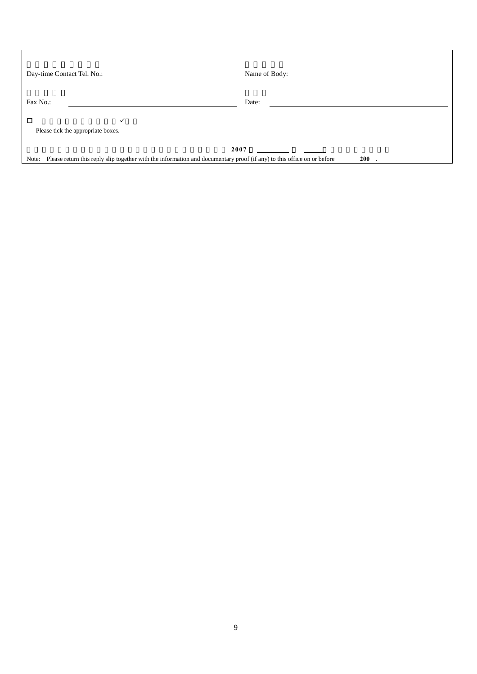| Day-time Contact Tel. No.:                                                                                                                            | Name of Body: |  |  |  |  |  |
|-------------------------------------------------------------------------------------------------------------------------------------------------------|---------------|--|--|--|--|--|
| Fax No.:                                                                                                                                              | Date:         |  |  |  |  |  |
| □<br>Please tick the appropriate boxes.                                                                                                               |               |  |  |  |  |  |
| 2007<br>Please return this reply slip together with the information and documentary proof (if any) to this office on or before<br><b>200</b><br>Note: |               |  |  |  |  |  |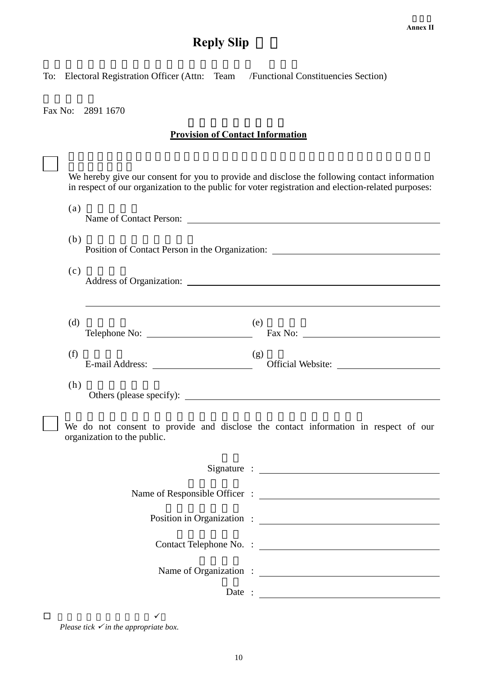# **Reply Slip**

To: Electoral Registration Officer (Attn: Team /Functional Constituencies Section)

Fax No: 2891 1670

### **Provision of Contact Information**

|                                                                                                                    | We hereby give our consent for you to provide and disclose the following contact information<br>in respect of our organization to the public for voter registration and election-related purposes: |  |  |  |  |  |  |  |
|--------------------------------------------------------------------------------------------------------------------|----------------------------------------------------------------------------------------------------------------------------------------------------------------------------------------------------|--|--|--|--|--|--|--|
|                                                                                                                    | (a)                                                                                                                                                                                                |  |  |  |  |  |  |  |
|                                                                                                                    | (b)<br>Position of Contact Person in the Organization: ________________________________<br>(c)                                                                                                     |  |  |  |  |  |  |  |
|                                                                                                                    |                                                                                                                                                                                                    |  |  |  |  |  |  |  |
|                                                                                                                    |                                                                                                                                                                                                    |  |  |  |  |  |  |  |
|                                                                                                                    | (d)<br>(e)<br>Telephone No: Fax No: Fax No:                                                                                                                                                        |  |  |  |  |  |  |  |
|                                                                                                                    | (f)<br>(g)                                                                                                                                                                                         |  |  |  |  |  |  |  |
|                                                                                                                    | (h)<br>Others (please specify):                                                                                                                                                                    |  |  |  |  |  |  |  |
| We do not consent to provide and disclose the contact information in respect of our<br>organization to the public. |                                                                                                                                                                                                    |  |  |  |  |  |  |  |
|                                                                                                                    |                                                                                                                                                                                                    |  |  |  |  |  |  |  |
|                                                                                                                    |                                                                                                                                                                                                    |  |  |  |  |  |  |  |
|                                                                                                                    |                                                                                                                                                                                                    |  |  |  |  |  |  |  |
|                                                                                                                    |                                                                                                                                                                                                    |  |  |  |  |  |  |  |
|                                                                                                                    |                                                                                                                                                                                                    |  |  |  |  |  |  |  |
|                                                                                                                    | Date : $\qquad \qquad$                                                                                                                                                                             |  |  |  |  |  |  |  |
| □                                                                                                                  | ✓                                                                                                                                                                                                  |  |  |  |  |  |  |  |

*Please tick*  $\checkmark$  *in the appropriate box.*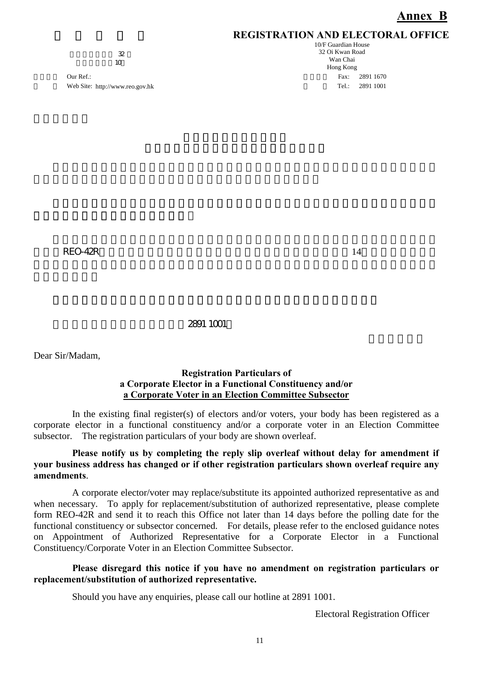### **REGISTRATION AND ELECTORAL OFFICE**

 $\overline{\mathcal{X}}$  $\frac{a}{10}$ 

Our Ref.: Fax: 2891 1670 Web Site: http://www.reo.gov.hk 1999 1001

10/F Guardian House 32 Oi Kwan Road Wan Chai Hong Kong

 $\angle$ REO-42R,  $\angle$  14

### 如有任何查詢,請致電本處熱線2891 1001。

Dear Sir/Madam,

#### **Registration Particulars of a Corporate Elector in a Functional Constituency and/or a Corporate Voter in an Election Committee Subsector**

In the existing final register(s) of electors and/or voters, your body has been registered as a corporate elector in a functional constituency and/or a corporate voter in an Election Committee subsector. The registration particulars of your body are shown overleaf.

### **Please notify us by completing the reply slip overleaf without delay for amendment if your business address has changed or if other registration particulars shown overleaf require any amendments**.

A corporate elector/voter may replace/substitute its appointed authorized representative as and when necessary. To apply for replacement/substitution of authorized representative, please complete form REO-42R and send it to reach this Office not later than 14 days before the polling date for the functional constituency or subsector concerned. For details, please refer to the enclosed guidance notes on Appointment of Authorized Representative for a Corporate Elector in a Functional Constituency/Corporate Voter in an Election Committee Subsector.

### **Please disregard this notice if you have no amendment on registration particulars or replacement/substitution of authorized representative.**

Should you have any enquiries, please call our hotline at 2891 1001.

Electoral Registration Officer